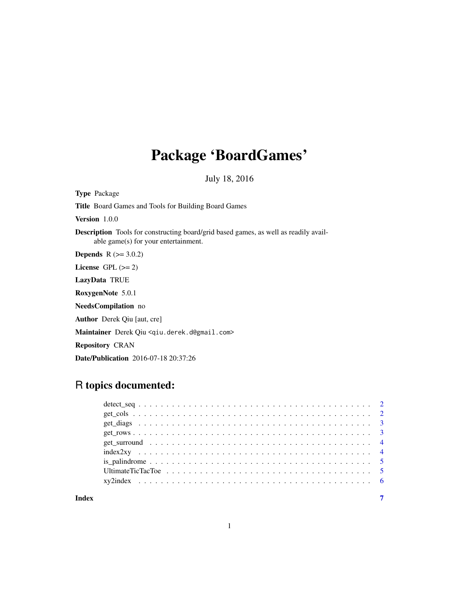# Package 'BoardGames'

July 18, 2016

Type Package

Title Board Games and Tools for Building Board Games

Version 1.0.0

Description Tools for constructing board/grid based games, as well as readily available game(s) for your entertainment.

**Depends**  $R (= 3.0.2)$ 

License GPL  $(>= 2)$ 

LazyData TRUE

RoxygenNote 5.0.1

NeedsCompilation no

Author Derek Qiu [aut, cre]

Maintainer Derek Qiu <qiu.derek.d@gmail.com>

Repository CRAN

Date/Publication 2016-07-18 20:37:26

# R topics documented:

#### **Index** [7](#page-6-0) **7**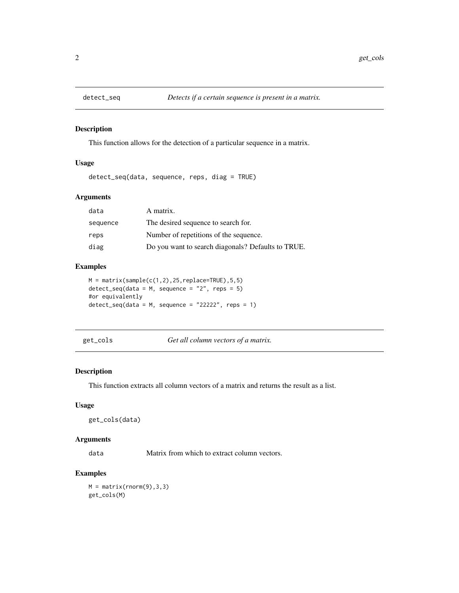<span id="page-1-0"></span>

This function allows for the detection of a particular sequence in a matrix.

### Usage

detect\_seq(data, sequence, reps, diag = TRUE)

### Arguments

| data     | A matrix.                                          |
|----------|----------------------------------------------------|
| sequence | The desired sequence to search for.                |
| reps     | Number of repetitions of the sequence.             |
| diag     | Do you want to search diagonals? Defaults to TRUE. |

#### Examples

```
M = matrix(sample(c(1,2),25,replace=TRUE),5,5)detect\_seq(data = M, sequence = "2", reps = 5)#or equivalently
detect\_seq(data = M, sequence = "22222", resp = 1)
```
get\_cols *Get all column vectors of a matrix.*

#### Description

This function extracts all column vectors of a matrix and returns the result as a list.

#### Usage

get\_cols(data)

#### Arguments

data Matrix from which to extract column vectors.

# Examples

 $M = matrix(rnorm(9), 3, 3)$ get\_cols(M)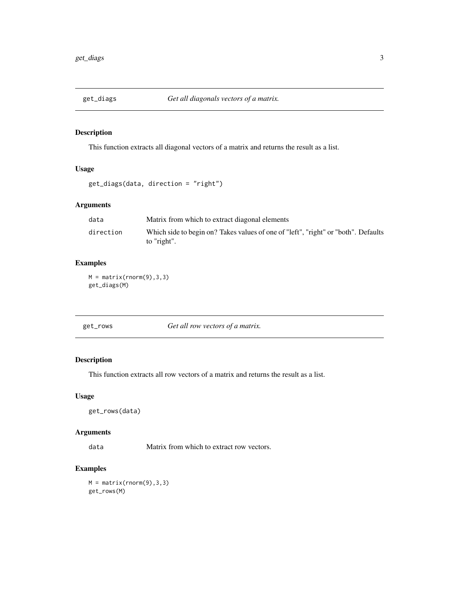<span id="page-2-0"></span>

This function extracts all diagonal vectors of a matrix and returns the result as a list.

# Usage

```
get_diags(data, direction = "right")
```
# Arguments

| data      | Matrix from which to extract diagonal elements                                                    |
|-----------|---------------------------------------------------------------------------------------------------|
| direction | Which side to begin on? Takes values of one of "left", "right" or "both". Defaults<br>to "right". |

# Examples

 $M = matrix(rnorm(9), 3, 3)$ get\_diags(M)

# Description

This function extracts all row vectors of a matrix and returns the result as a list.

#### Usage

```
get_rows(data)
```
# Arguments

data Matrix from which to extract row vectors.

# Examples

```
M = matrix(rnorm(9), 3, 3)get_rows(M)
```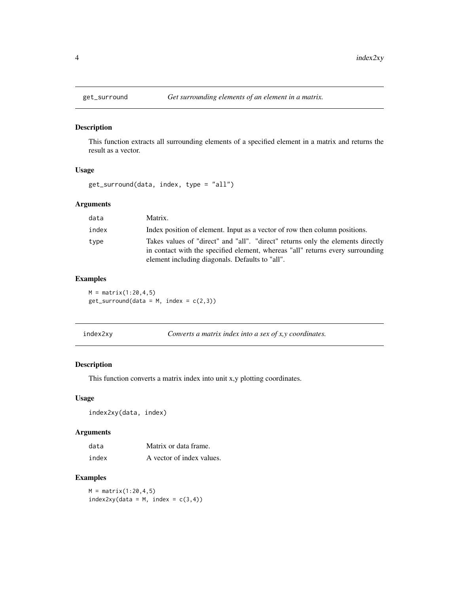<span id="page-3-0"></span>

This function extracts all surrounding elements of a specified element in a matrix and returns the result as a vector.

#### Usage

get\_surround(data, index, type = "all")

# Arguments

| data  | Matrix.                                                                                                                                                                                                              |
|-------|----------------------------------------------------------------------------------------------------------------------------------------------------------------------------------------------------------------------|
| index | Index position of element. Input as a vector of row then column positions.                                                                                                                                           |
| type  | Takes values of "direct" and "all". "direct" returns only the elements directly<br>in contact with the specified element, whereas "all" returns every surrounding<br>element including diagonals. Defaults to "all". |

#### Examples

 $M = matrix(1:20, 4, 5)$  $get\_surround(data = M, index = c(2,3))$ 

| index2xy |  | Converts a matrix index into a sex of $x, y$ coordinates. |  |  |  |
|----------|--|-----------------------------------------------------------|--|--|--|
|----------|--|-----------------------------------------------------------|--|--|--|

# Description

This function converts a matrix index into unit x,y plotting coordinates.

### Usage

index2xy(data, index)

# Arguments

| data  | Matrix or data frame.     |
|-------|---------------------------|
| index | A vector of index values. |

# Examples

 $M = matrix(1:20, 4, 5)$  $index2xy(data = M, index = c(3, 4))$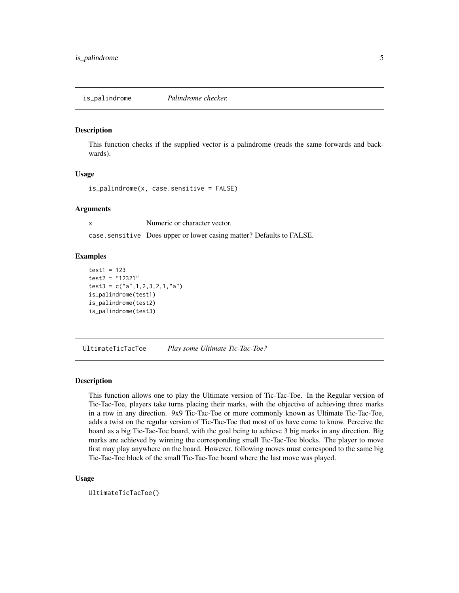<span id="page-4-0"></span>is\_palindrome *Palindrome checker.*

#### Description

This function checks if the supplied vector is a palindrome (reads the same forwards and backwards).

#### Usage

is\_palindrome(x, case.sensitive = FALSE)

#### Arguments

x Numeric or character vector. case.sensitive Does upper or lower casing matter? Defaults to FALSE.

#### Examples

```
test1 = 123test2 = "12321"
test3 = c("a", 1, 2, 3, 2, 1, "a")is_palindrome(test1)
is_palindrome(test2)
is_palindrome(test3)
```
UltimateTicTacToe *Play some Ultimate Tic-Tac-Toe?*

#### Description

This function allows one to play the Ultimate version of Tic-Tac-Toe. In the Regular version of Tic-Tac-Toe, players take turns placing their marks, with the objective of achieving three marks in a row in any direction. 9x9 Tic-Tac-Toe or more commonly known as Ultimate Tic-Tac-Toe, adds a twist on the regular version of Tic-Tac-Toe that most of us have come to know. Perceive the board as a big Tic-Tac-Toe board, with the goal being to achieve 3 big marks in any direction. Big marks are achieved by winning the corresponding small Tic-Tac-Toe blocks. The player to move first may play anywhere on the board. However, following moves must correspond to the same big Tic-Tac-Toe block of the small Tic-Tac-Toe board where the last move was played.

#### Usage

UltimateTicTacToe()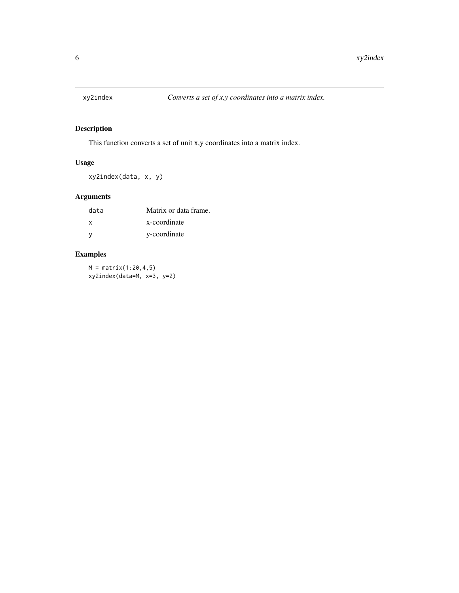<span id="page-5-0"></span>

This function converts a set of unit x,y coordinates into a matrix index.

# Usage

xy2index(data, x, y)

# Arguments

| data | Matrix or data frame. |
|------|-----------------------|
| X    | x-coordinate          |
| - V  | y-coordinate          |

# Examples

 $M = matrix(1:20, 4, 5)$ xy2index(data=M, x=3, y=2)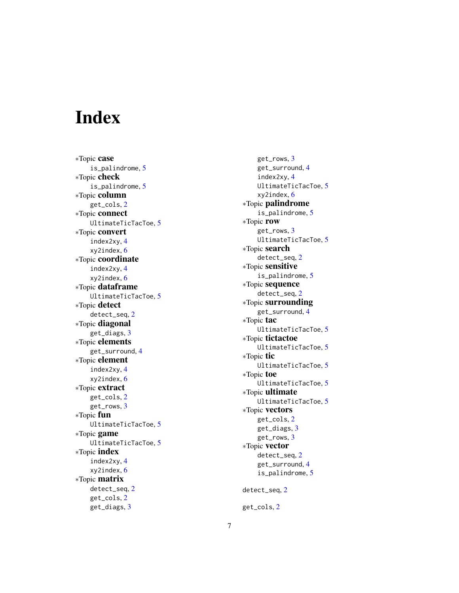# <span id="page-6-0"></span>Index

∗Topic case is\_palindrome , [5](#page-4-0) ∗Topic check is\_palindrome , [5](#page-4-0) ∗Topic column get\_cols , [2](#page-1-0) ∗Topic connect UltimateTicTacToe, [5](#page-4-0) ∗Topic convert index2xy , [4](#page-3-0) xy2index , [6](#page-5-0) ∗Topic coordinate index2xy , [4](#page-3-0) xy2index , [6](#page-5-0) ∗Topic dataframe UltimateTicTacToe, [5](#page-4-0) ∗Topic detect detect\_seq , [2](#page-1-0) ∗Topic diagonal get\_diags , [3](#page-2-0) ∗Topic elements get\_surround, [4](#page-3-0) ∗Topic element index2xy , [4](#page-3-0) xy2index , [6](#page-5-0) ∗Topic extract get\_cols , [2](#page-1-0) get\_rows , [3](#page-2-0) ∗Topic fun UltimateTicTacToe, [5](#page-4-0) ∗Topic game UltimateTicTacToe, [5](#page-4-0) ∗Topic index index2xy , [4](#page-3-0) xy2index , [6](#page-5-0) ∗Topic matrix detect\_seq , [2](#page-1-0) get\_cols , [2](#page-1-0) get\_diags , [3](#page-2-0)

get\_rows , [3](#page-2-0) get\_surround, [4](#page-3-0) index2xy , [4](#page-3-0) UltimateTicTacToe , [5](#page-4-0) xy2index , [6](#page-5-0) ∗Topic palindrome is\_palindrome , [5](#page-4-0) ∗Topic row get\_rows , [3](#page-2-0) UltimateTicTacToe , [5](#page-4-0) ∗Topic search detect\_seq, [2](#page-1-0) ∗Topic sensitive is\_palindrome , [5](#page-4-0) ∗Topic sequence detect\_seq, [2](#page-1-0) ∗Topic surrounding get\_surround, [4](#page-3-0) ∗Topic tac UltimateTicTacToe, [5](#page-4-0) ∗Topic tictactoe UltimateTicTacToe, [5](#page-4-0) ∗Topic tic UltimateTicTacToe, [5](#page-4-0) ∗Topic toe UltimateTicTacToe, [5](#page-4-0) ∗Topic ultimate UltimateTicTacToe, [5](#page-4-0) ∗Topic vectors get\_cols , [2](#page-1-0) get\_diags , [3](#page-2-0) get\_rows , [3](#page-2-0) ∗Topic vector detect\_seq , [2](#page-1-0) get\_surround, [4](#page-3-0) is\_palindrome , [5](#page-4-0) detect\_seq , [2](#page-1-0) get\_cols , [2](#page-1-0)